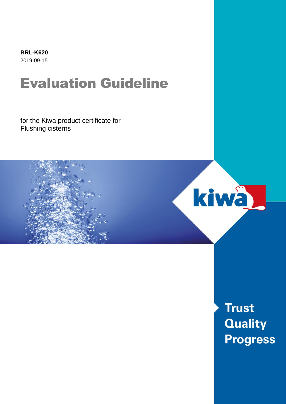**BRL-K620** 2019-09-15

## Evaluation Guideline

for the Kiwa product certificate for Flushing cisterns



**Trust Quality Progress**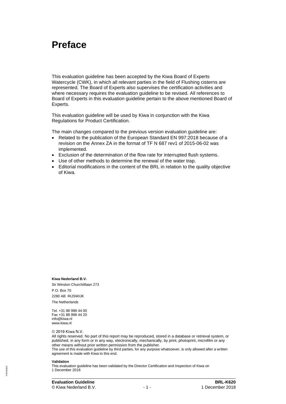### **Preface**

This evaluation guideline has been accepted by the Kiwa Board of Experts Watercycle (CWK), in which all relevant parties in the field of Flushing cisterns are represented. The Board of Experts also supervises the certification activities and where necessary requires the evaluation guideline to be revised. All references to Board of Experts in this evaluation guideline pertain to the above mentioned Board of Experts.

This evaluation guideline will be used by Kiwa in conjunction with the Kiwa Regulations for Product Certification.

The main changes compared to the previous version evaluation guideline are:

- Related to the publication of the European Standard EN 997:2018 because of a revision on the Annex ZA in the format of TF N 687 rev1 of 2015-06-02 was implemented.
- Exclusion of the determination of the flow rate for interrupted flush systems.
- Use of other methods to determine the renewal of the water trap.
- Editorial modifications in the content of the BRL in relation to the quality objective of Kiwa.

**Kiwa Nederland B.V.**

Sir Winston Churchilllaan 273 P.O. Box 70 2280 AB RIJSWIJK The Netherlands

Tel. +31 88 998 44 00 Fax +31 88 998 44 20 info@kiwa.nl www.kiwa.nl

© 2019 Kiwa N.V.

All rights reserved. No part of this report may be reproduced, stored in a database or retrieval system, or published, in any form or in any way, electronically, mechanically, by print, photoprint, microfilm or any other means without prior written permission from the publisher.

The use of this evaluation guideline by third parties, for any purpose whatsoever, is only allowed after a written agreement is made with Kiwa to this end.

#### **Validation**

478/160822**78/160822**  This evaluation guideline has been validated by the Director Certification and Inspection of Kiwa on 1 December 2018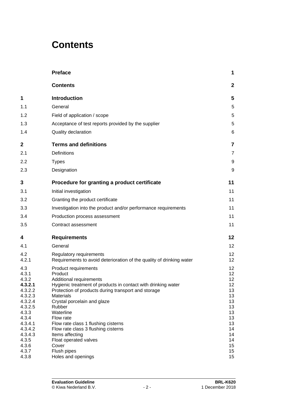### **Contents**

|                    | <b>Preface</b>                                                                                  | 1                                  |
|--------------------|-------------------------------------------------------------------------------------------------|------------------------------------|
|                    | <b>Contents</b>                                                                                 | $\mathbf{2}$                       |
| 1                  | <b>Introduction</b>                                                                             | 5                                  |
| 1.1                | General                                                                                         | 5                                  |
| 1.2                | Field of application / scope                                                                    | 5                                  |
| 1.3                | Acceptance of test reports provided by the supplier                                             | 5                                  |
| 1.4                | Quality declaration                                                                             | 6                                  |
| $\mathbf 2$        | <b>Terms and definitions</b>                                                                    | $\overline{7}$                     |
| 2.1                | <b>Definitions</b>                                                                              | $\overline{7}$                     |
| 2.2                | <b>Types</b>                                                                                    | 9                                  |
| 2.3                | Designation                                                                                     | 9                                  |
| 3                  | Procedure for granting a product certificate                                                    | 11                                 |
| 3.1                | Initial investigation                                                                           | 11                                 |
| 3.2                | Granting the product certificate                                                                | 11                                 |
| 3.3                | Investigation into the product and/or performance requirements                                  | 11                                 |
| 3.4                | Production process assessment                                                                   | 11                                 |
| 3.5                | Contract assessment                                                                             | 11                                 |
| 4                  | <b>Requirements</b>                                                                             | 12                                 |
| 4.1                | General                                                                                         | 12                                 |
| 4.2<br>4.2.1       | Regulatory requirements<br>Requirements to avoid deterioration of the quality of drinking water | 12 <sub>2</sub><br>12 <sub>2</sub> |
| 4.3<br>4.3.1       | Product requirements                                                                            | 12<br>12                           |
| 4.3.2              | Product<br>Additional requirements                                                              | 12                                 |
| 4.3.2.1            | Hygienic treatment of products in contact with drinking water                                   | 12 <sub>2</sub>                    |
| 4.3.2.2<br>4.3.2.3 | Protection of products during transport and storage<br><b>Materials</b>                         | 13<br>13                           |
| 4.3.2.4            | Crystal porcelain and glaze                                                                     | 13                                 |
| 4.3.2.5<br>4.3.3   | Rubber<br>Waterline                                                                             | 13<br>13                           |
| 4.3.4              | Flow rate                                                                                       | 13                                 |
| 4.3.4.1            | Flow rate class 1 flushing cisterns                                                             | 13                                 |
| 4.3.4.2            | Flow rate class 3 flushing cisterns                                                             | 14                                 |
| 4.3.4.3<br>4.3.5   | Items affecting<br>Float operated valves                                                        | 14<br>14                           |
| 4.3.6              | Cover                                                                                           | 15 <sub>15</sub>                   |
| 4.3.7              | Flush pipes                                                                                     | 15 <sub>15</sub>                   |
| 4.3.8              | Holes and openings                                                                              | 15                                 |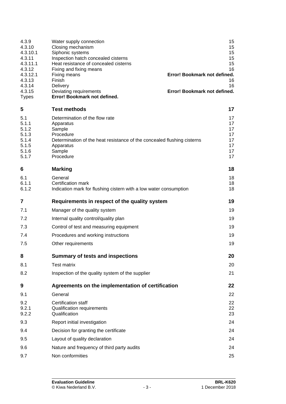| 4.3.9<br>4.3.10<br>4.3.10.1<br>4.3.11<br>4.3.11.1                  | Water supply connection<br>Closing mechanism<br>Siphonic systems<br>Inspection hatch concealed cisterns<br>Heat resistance of concealed cisterns                                  | 15<br>15<br>15<br>15<br>15                   |
|--------------------------------------------------------------------|-----------------------------------------------------------------------------------------------------------------------------------------------------------------------------------|----------------------------------------------|
| 4.3.12<br>4.3.12.1<br>4.3.13<br>4.3.14                             | Fixing and fixing means<br>Error! Bookmark not defined.<br>Fixing means<br>Finish<br>Delivery                                                                                     | 16<br>16<br>16                               |
| 4.3.15<br><b>Types</b>                                             | Error! Bookmark not defined.<br>Deviating requirements<br>Error! Bookmark not defined.                                                                                            |                                              |
| 5                                                                  | <b>Test methods</b>                                                                                                                                                               | 17                                           |
| 5.1<br>5.1.1<br>5.1.2<br>5.1.3<br>5.1.4<br>5.1.5<br>5.1.6<br>5.1.7 | Determination of the flow rate<br>Apparatus<br>Sample<br>Procedure<br>Determination of the heat resistance of the concealed flushing cisterns<br>Apparatus<br>Sample<br>Procedure | 17<br>17<br>17<br>17<br>17<br>17<br>17<br>17 |
| 6                                                                  | <b>Marking</b>                                                                                                                                                                    | 18                                           |
| 6.1<br>6.1.1<br>6.1.2                                              | General<br>Certification mark<br>Indication mark for flushing cistern with a low water consumption                                                                                | 18<br>18<br>18                               |
| 7                                                                  | Requirements in respect of the quality system                                                                                                                                     | 19                                           |
| 7.1                                                                | Manager of the quality system                                                                                                                                                     | 19                                           |
| 7.2                                                                | Internal quality control/quality plan                                                                                                                                             | 19                                           |
| 7.3                                                                | Control of test and measuring equipment                                                                                                                                           | 19                                           |
| 7.4                                                                | Procedures and working instructions                                                                                                                                               | 19                                           |
| 7.5                                                                | Other requirements                                                                                                                                                                | 19                                           |
| 8                                                                  | <b>Summary of tests and inspections</b>                                                                                                                                           | 20                                           |
| 8.1                                                                | <b>Test matrix</b>                                                                                                                                                                | 20                                           |
| 8.2                                                                | Inspection of the quality system of the supplier                                                                                                                                  | 21                                           |
| 9                                                                  | Agreements on the implementation of certification                                                                                                                                 | 22                                           |
| 9.1                                                                | General                                                                                                                                                                           | 22                                           |
| 9.2<br>9.2.1<br>9.2.2                                              | <b>Certification staff</b><br><b>Qualification requirements</b><br>Qualification                                                                                                  | 22<br>22<br>23                               |
| 9.3                                                                | Report initial investigation                                                                                                                                                      | 24                                           |
| 9.4                                                                | Decision for granting the certificate                                                                                                                                             | 24                                           |
| 9.5                                                                | Layout of quality declaration                                                                                                                                                     | 24                                           |
| 9.6                                                                | Nature and frequency of third party audits                                                                                                                                        | 24                                           |
| 9.7                                                                | Non conformities                                                                                                                                                                  | 25                                           |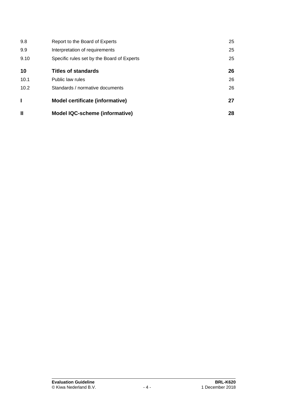| Ш    | <b>Model IQC-scheme (informative)</b>      | 28 |
|------|--------------------------------------------|----|
|      | Model certificate (informative)            | 27 |
| 10.2 | Standards / normative documents            | 26 |
| 10.1 | Public law rules                           | 26 |
| 10   | <b>Titles of standards</b>                 | 26 |
| 9.10 | Specific rules set by the Board of Experts | 25 |
| 9.9  | Interpretation of requirements             | 25 |
| 9.8  | Report to the Board of Experts             | 25 |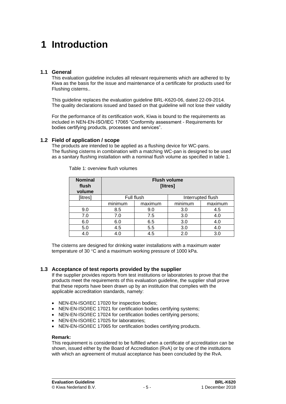## **1 Introduction**

#### **1.1 General**

This evaluation guideline includes all relevant requirements which are adhered to by Kiwa as the basis for the issue and maintenance of a certificate for products used for Flushing cisterns..

This guideline replaces the evaluation guideline BRL-K620-06, dated 22-09-2014. The quality declarations issued and based on that guideline will not lose their validity

For the performance of its certification work, Kiwa is bound to the requirements as included in NEN-EN-ISO/IEC 17065 "Conformity assessment - Requirements for bodies certifying products, processes and services".

#### **1.2 Field of application / scope**

The products are intended to be applied as a flushing device for WC-pans. The flushing cisterns in combination with a matching WC-pan is designed to be used as a sanitary flushing installation with a nominal flush volume as specified in table 1.

| <b>Nominal</b><br>flush<br>volume | <b>Flush volume</b><br>[litres] |         |         |         |
|-----------------------------------|---------------------------------|---------|---------|---------|
| [litres]                          | Full flush<br>Interrupted flush |         |         |         |
|                                   | minimum                         | maximum | minimum | maximum |
| 9.0                               | 8.5                             | 9.0     | 3.0     | 4.5     |
| 7.0                               | 7.0                             | 7.5     | 3.0     | 4.0     |
| 6.0                               | 6.0                             | 6.5     | 3.0     | 4.0     |
| 5.0                               | 4.5                             | 5.5     | 3.0     | 4.0     |
| 4.0                               | 4.0                             | 4.5     | 2.0     | 3.0     |

Table 1: overview flush volumes

The cisterns are designed for drinking water installations with a maximum water temperature of 30 $\degree$ C and a maximum working pressure of 1000 kPa.

#### **1.3 Acceptance of test reports provided by the supplier**

If the supplier provides reports from test institutions or laboratories to prove that the products meet the requirements of this evaluation guideline, the supplier shall prove that these reports have been drawn up by an institution that complies with the applicable accreditation standards, namely:

- NEN-EN-ISO/IEC 17020 for inspection bodies:
- NEN-EN-ISO/IEC 17021 for certification bodies certifying systems;
- NEN-EN-ISO/IEC 17024 for certification bodies certifying persons;
- NEN-EN-ISO/IEC 17025 for laboratories;
- NEN-EN-ISO/IEC 17065 for certification bodies certifying products.

#### **Remark:**

This requirement is considered to be fulfilled when a certificate of accreditation can be shown, issued either by the Board of Accreditation (RvA) or by one of the institutions with which an agreement of mutual acceptance has been concluded by the RvA.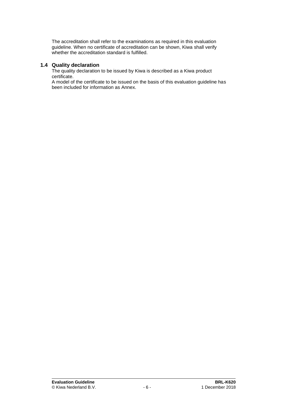The accreditation shall refer to the examinations as required in this evaluation guideline. When no certificate of accreditation can be shown, Kiwa shall verify whether the accreditation standard is fulfilled.

#### **1.4 Quality declaration**

The quality declaration to be issued by Kiwa is described as a Kiwa product certificate.

A model of the certificate to be issued on the basis of this evaluation guideline has been included for information as Annex.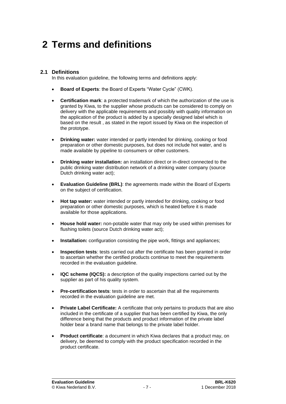### **2 Terms and definitions**

#### **2.1 Definitions**

In this evaluation guideline, the following terms and definitions apply:

- **Board of Experts**: the Board of Experts "Water Cycle" (CWK).
- **Certification mark**: a protected trademark of which the authorization of the use is granted by Kiwa, to the supplier whose products can be considered to comply on delivery with the applicable requirements and possibly with quality information on the application of the product is added by a specially designed label which is based on the result , as stated in the report issued by Kiwa on the inspection of the prototype.
- **Drinking water:** water intended or partly intended for drinking, cooking or food preparation or other domestic purposes, but does not include hot water, and is made available by pipeline to consumers or other customers.
- **Drinking water installation:** an installation direct or in-direct connected to the public drinking water distribution network of a drinking water company (source Dutch drinking water act);
- **Evaluation Guideline (BRL)**: the agreements made within the Board of Experts on the subject of certification.
- **Hot tap water:** water intended or partly intended for drinking, cooking or food preparation or other domestic purposes, which is heated before it is made available for those applications.
- **House hold water:** non-potable water that may only be used within premises for flushing toilets (source Dutch drinking water act);
- **Installation:** configuration consisting the pipe work, fittings and appliances;
- **Inspection tests**: tests carried out after the certificate has been granted in order to ascertain whether the certified products continue to meet the requirements recorded in the evaluation guideline.
- **IQC scheme (IQCS):** a description of the quality inspections carried out by the supplier as part of his quality system.
- **Pre-certification tests**: tests in order to ascertain that all the requirements recorded in the evaluation guideline are met.
- **Private Label Certificate:** A certificate that only pertains to products that are also included in the certificate of a supplier that has been certified by Kiwa, the only difference being that the products and product information of the private label holder bear a brand name that belongs to the private label holder.
- **Product certificate**: a document in which Kiwa declares that a product may, on delivery, be deemed to comply with the product specification recorded in the product certificate.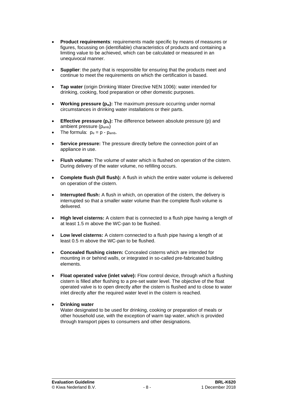- **Product requirements**: requirements made specific by means of measures or figures, focussing on (identifiable) characteristics of products and containing a limiting value to be achieved, which can be calculated or measured in an unequivocal manner.
- **Supplier:** the party that is responsible for ensuring that the products meet and continue to meet the requirements on which the certification is based.
- **Tap water** (origin Drinking Water Directive NEN 1006): water intended for drinking, cooking, food preparation or other domestic purposes.
- **Working pressure (p<sub>w</sub>):** The maximum pressure occurring under normal circumstances in drinking water installations or their parts.
- **Effective pressure (pe):** The difference between absolute pressure (p) and ambient pressure (pamb)
- The formula:  $p_e = p p_{amb.}$
- **Service pressure:** The pressure directly before the connection point of an appliance in use.
- **Flush volume:** The volume of water which is flushed on operation of the cistern. During delivery of the water volume, no refilling occurs.
- **Complete flush (full flush):** A flush in which the entire water volume is delivered on operation of the cistern.
- **Interrupted flush:** A flush in which, on operation of the cistern, the delivery is interrupted so that a smaller water volume than the complete flush volume is delivered.
- **High level cisterns:** A cistern that is connected to a flush pipe having a length of at least 1.5 m above the WC-pan to be flushed.
- **Low level cisterns:** A cistern connected to a flush pipe having a length of at least 0.5 m above the WC-pan to be flushed.
- **Concealed flushing cistern:** Concealed cisterns which are intended for mounting in or behind walls, or integrated in so-called pre-fabricated building elements.
- **Float operated valve (inlet valve):** Flow control device, through which a flushing cistern is filled after flushing to a pre-set water level. The objective of the float operated valve is to open directly after the cistern is flushed and to close to water inlet directly after the required water level in the cistern is reached.
- **Drinking water**

Water designated to be used for drinking, cooking or preparation of meals or other household use, with the exception of warm tap water, which is provided through transport pipes to consumers and other designations.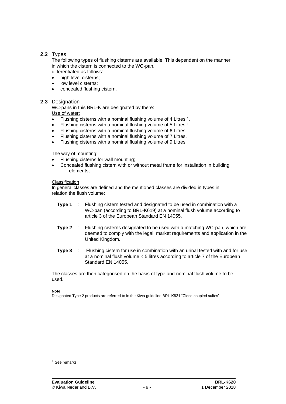#### **2.2** Types

The following types of flushing cisterns are available. This dependent on the manner, in which the cistern is connected to the WC-pan. differentiated as follows:

- high level cisterns;
- low level cisterns;
- concealed flushing cistern.

#### **2.3** Designation

WC-pans in this BRL-K are designated by there: Use of water:

- Flushing cisterns with a nominal flushing volume of 4 Litres  $1$ .
- Flushing cisterns with a nominal flushing volume of 5 Litres <sup>1</sup>.
- Flushing cisterns with a nominal flushing volume of 6 Litres.
- Flushing cisterns with a nominal flushing volume of 7 Litres.
- Flushing cisterns with a nominal flushing volume of 9 Litres.

#### The way of mounting:

- Flushing cisterns for wall mounting;
- Concealed flushing cistern with or without metal frame for installation in building elements;

#### **Classification**

In general classes are defined and the mentioned classes are divided in types in relation the flush volume:

- **Type 1** : Flushing cistern tested and designated to be used in combination with a WC-pan (according to BRL-K619) at a nominal flush volume according to article 3 of the European Standard EN 14055.
- **Type 2** : Flushing cisterns designated to be used with a matching WC-pan, which are deemed to comply with the legal, market requirements and application in the United Kingdom.
- **Type 3** : Flushing cistern for use in combination with an urinal tested with and for use at a nominal flush volume < 5 litres according to article 7 of the European Standard EN 14055.

The classes are then categorised on the basis of type and nominal flush volume to be used.

#### **Note**

Designated Type 2 products are referred to in the Kiwa guideline BRL-K621 "Close coupled suites".

<sup>1</sup> See remarks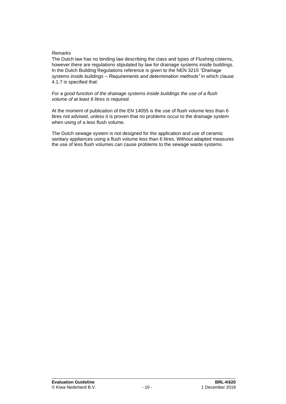#### *Remarks*

The Dutch law has no binding law describing the class and types of Flushing cisterns, however there are regulations stipulated by law for drainage systems inside buildings. In the Dutch Building Regulations reference is given to the NEN 3215 *"Drainage systems inside buildings – Requirements and determination methods"* in which clause 4.1.7 is specified that:

#### *For a good function of the drainage systems inside buildings the use of a flush volume of at least 6 litres is required.*

At the moment of publication of the EN 14055 is the use of flush volume less than 6 litres not advised, unless it is proven that no problems occur to the drainage system when using of a less flush volume.

The Dutch sewage system is not designed for the application and use of ceramic sanitary appliances using a flush volume less than 6 litres. Without adapted measures the use of less flush volumes can cause problems to the sewage waste systems.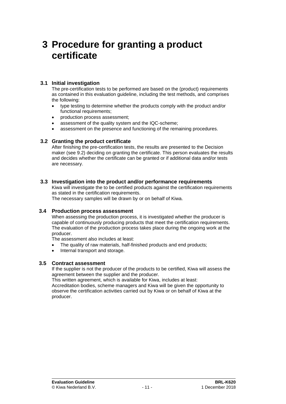### **3 Procedure for granting a product certificate**

#### **3.1 Initial investigation**

The pre-certification tests to be performed are based on the (product) requirements as contained in this evaluation guideline, including the test methods, and comprises the following:

- type testing to determine whether the products comply with the product and/or functional requirements;
- production process assessment;
- assessment of the quality system and the IQC-scheme;
- assessment on the presence and functioning of the remaining procedures.

#### **3.2 Granting the product certificate**

After finishing the pre-certification tests, the results are presented to the Decision maker (see [9.2\)](#page-23-0) deciding on granting the certificate. This person evaluates the results and decides whether the certificate can be granted or if additional data and/or tests are necessary.

#### **3.3 Investigation into the product and/or performance requirements**

Kiwa will investigate the to be certified products against the certification requirements as stated in the certification requirements.

The necessary samples will be drawn by or on behalf of Kiwa.

#### **3.4 Production process assessment**

When assessing the production process, it is investigated whether the producer is capable of continuously producing products that meet the certification requirements. The evaluation of the production process takes place during the ongoing work at the producer.

The assessment also includes at least:

- The quality of raw materials, half-finished products and end products;
- Internal transport and storage.

#### **3.5 Contract assessment**

If the supplier is not the producer of the products to be certified, Kiwa will assess the agreement between the supplier and the producer.

This written agreement, which is available for Kiwa, includes at least:

Accreditation bodies, scheme managers and Kiwa will be given the opportunity to observe the certification activities carried out by Kiwa or on behalf of Kiwa at the producer.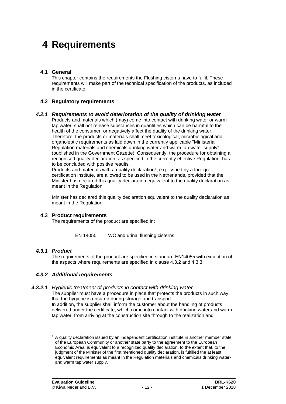### **4 Requirements**

#### **4.1 General**

This chapter contains the requirements the Flushing cisterns have to fulfil. These requirements will make part of the technical specification of the products, as included in the certificate.

#### **4.2 Regulatory requirements**

#### *4.2.1 Requirements to avoid deterioration of the quality of drinking water*

Products and materials which (may) come into contact with drinking water or warm tap water, shall not release substances in quantities which can be harmful to the health of the consumer, or negatively affect the quality of the drinking water. Therefore, the products or materials shall meet toxicological, microbiological and organoleptic requirements as laid down in the currently applicable "Ministerial Regulation materials and chemicals drinking water and warm tap water supply", (published in the Government Gazette). Consequently, the procedure for obtaining a recognised quality declaration, as specified in the currently effective Regulation, has to be concluded with positive results.

Products and materials with a quality declaration<sup>1</sup>, e.g. issued by a foreign certification institute, are allowed to be used in the Netherlands, provided that the Minister has declared this quality declaration equivalent to the quality declaration as meant in the Regulation.

Minister has declared this quality declaration equivalent to the quality declaration as meant in the Regulation.

#### **4.3 Product requirements**

The requirements of the product are specified in:

EN 14055 WC and urinal flushing cisterns

#### *4.3.1 Product*

The requirements of the product are specified in standard EN14055 with exception of the aspects where requirements are specified in clause 4.3.2 and 4.3.3.

#### *4.3.2 Additional requirements*

#### *4.3.2.1 Hygienic treatment of products in contact with drinking water*

The supplier must have a procedure in place that protects the products in such way, that the hygiene is ensured during storage and transport. In addition, the supplier shall inform the customer about the handling of products delivered under the certificate, which come into contact with drinking water and warm tap water, from arriving at the construction site through to the realization and

<sup>&</sup>lt;sup>1</sup> A quality declaration issued by an independent certification institute in another member state of the European Community or another state party to the agreement to the European Economic Area, is equivalent to a recognized quality declaration, to the extent that, to the judgment of the Minister of the first mentioned quality declaration, is fulfilled the at least equivalent requirements as meant in the Regulation materials and chemicals drinking waterand warm tap water supply.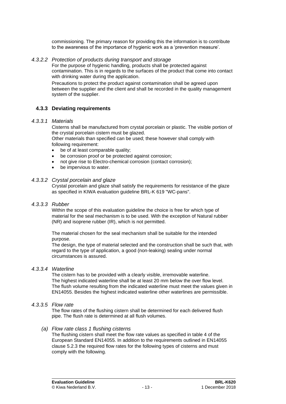commissioning. The primary reason for providing this the information is to contribute to the awareness of the importance of hygienic work as a 'prevention measure'.

#### *4.3.2.2 Protection of products during transport and storage*

For the purpose of hygienic handling, products shall be protected against contamination. This is in regards to the surfaces of the product that come into contact with drinking water during the application.

Precautions to protect the product against contamination shall be agreed upon between the supplier and the client and shall be recorded in the quality management system of the supplier.

#### **4.3.3 Deviating requirements**

#### *4.3.3.1 Materials*

Cisterns shall be manufactured from crystal porcelain or plastic. The visible portion of the crystal porcelain cistern must be glazed.

Other materials than specified can be used; these however shall comply with following requirement:

- be of at least comparable quality;
- be corrosion proof or be protected against corrosion;
- not give rise to Electro-chemical corrosion (contact corrosion);
- be impervious to water.

#### *4.3.3.2 Crystal porcelain and glaze*

Crystal porcelain and glaze shall satisfy the requirements for resistance of the glaze as specified in KIWA evaluation guideline BRL-K 619 "WC-pans".

#### *4.3.3.3 Rubber*

Within the scope of this evaluation guideline the choice is free for which type of material for the seal mechanism is to be used. With the exception of Natural rubber (NR) and isoprene rubber (IR), which is not permitted.

The material chosen for the seal mechanism shall be suitable for the intended purpose.

The design, the type of material selected and the construction shall be such that, with regard to the type of application, a good (non-leaking) sealing under normal circumstances is assured.

#### *4.3.3.4 Waterline*

The cistern has to be provided with a clearly visible, irremovable waterline. The highest indicated waterline shall be at least 20 mm below the over flow level. The flush volume resulting from the indicated waterline must meet the values given in EN14055. Besides the highest indicated waterline other waterlines are permissible.

#### *4.3.3.5 Flow rate*

<span id="page-13-0"></span>The flow rates of the flushing cistern shall be determined for each delivered flush pipe. The flush rate is determined at all flush volumes.

#### *(a) Flow rate class 1 flushing cisterns*

The flushing cistern shall meet the flow rate values as specified in table 4 of the European Standard EN14055. In addition to the requirements outlined in EN14055 clause 5.2.3 the required flow rates for the following types of cisterns and must comply with the following.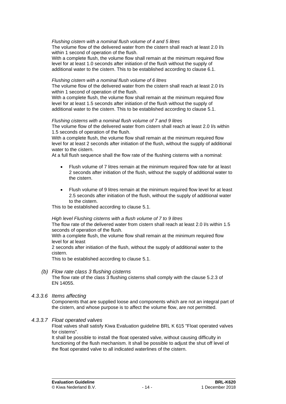#### *Flushing cistern with a nominal flush volume of 4 and 5 litres*

The volume flow of the delivered water from the cistern shall reach at least 2.0 l/s within 1 second of operation of the flush.

With a complete flush, the volume flow shall remain at the minimum required flow level for at least 1.0 seconds after initiation of the flush without the supply of additional water to the cistern. This to be established according to clause 6.1.

#### *Flushing cistern with a nominal flush volume of 6 litres*

The volume flow of the delivered water from the cistern shall reach at least 2.0 l/s within 1 second of operation of the flush.

With a complete flush, the volume flow shall remain at the minimum required flow level for at least 1.5 seconds after initiation of the flush without the supply of additional water to the cistern. This to be established according to clause [5.1.](#page-17-0)

#### *Flushing cisterns with a nominal flush volume of 7 and 9 litres*

The volume flow of the delivered water from cistern shall reach at least 2.0 l/s within 1.5 seconds of operation of the flush.

With a complete flush, the volume flow shall remain at the minimum required flow level for at least 2 seconds after initiation of the flush, without the supply of additional water to the cistern.

At a full flush sequence shall the flow rate of the flushing cisterns with a nominal:

- Flush volume of 7 litres remain at the minimum required flow rate for at least 2 seconds after initiation of the flush, without the supply of additional water to the cistern.
- Flush volume of 9 litres remain at the minimum required flow level for at least 2.5 seconds after initiation of the flush, without the supply of additional water to the cistern.

This to be established according to clause [5.1.](#page-17-0)

#### *High level Flushing cisterns with a flush volume of 7 to 9 litres*

The flow rate of the delivered water from cistern shall reach at least 2.0 l/s within 1.5 seconds of operation of the flush.

With a complete flush, the volume flow shall remain at the minimum required flow level for at least

2 seconds after initiation of the flush, without the supply of additional water to the cistern.

This to be established according to clause [5.1.](#page-17-0)

#### *(b) Flow rate class 3 flushing cisterns*

The flow rate of the class 3 flushing cisterns shall comply with the clause 5.2.3 of EN 14055.

*4.3.3.6 Items affecting*

Components that are supplied loose and components which are not an integral part of the cistern, and whose purpose is to affect the volume flow, are not permitted.

#### *4.3.3.7 Float operated valves*

Float valves shall satisfy Kiwa Evaluation guideline BRL K 615 "Float operated valves for cisterns".

It shall be possible to install the float operated valve, without causing difficulty in functioning of the flush mechanism. It shall be possible to adjust the shut off level of the float operated valve to all indicated waterlines of the cistern.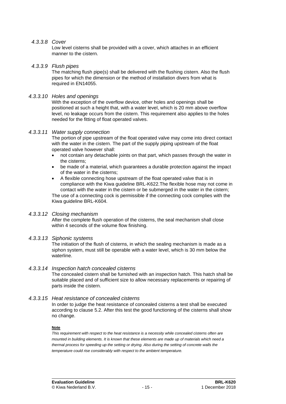#### *4.3.3.8 Cover*

Low level cisterns shall be provided with a cover, which attaches in an efficient manner to the cistern.

#### *4.3.3.9 Flush pipes*

The matching flush pipe(s) shall be delivered with the flushing cistern. Also the flush pipes for which the dimension or the method of installation divers from what is required in EN14055.

#### *4.3.3.10 Holes and openings*

With the exception of the overflow device, other holes and openings shall be positioned at such a height that, with a water level, which is 20 mm above overflow level, no leakage occurs from the cistern. This requirement also applies to the holes needed for the fitting of float operated valves.

#### *4.3.3.11 Water supply connection*

The portion of pipe upstream of the float operated valve may come into direct contact with the water in the cistern. The part of the supply piping upstream of the float operated valve however shall:

- not contain any detachable joints on that part, which passes through the water in the cisterns;
- be made of a material, which quarantees a durable protection against the impact of the water in the cisterns;

• A flexible connecting hose upstream of the float operated valve that is in compliance with the Kiwa guideline BRL-K622.The flexible hose may not come in contact with the water in the cistern or be submerged in the water in the cistern; The use of a connecting cock is permissible if the connecting cock complies with the Kiwa guideline BRL-K604.

#### *4.3.3.12 Closing mechanism*

After the complete flush operation of the cisterns, the seal mechanism shall close within 4 seconds of the volume flow finishing.

#### *4.3.3.13 Siphonic systems*

The initiation of the flush of cisterns, in which the sealing mechanism is made as a siphon system, must still be operable with a water level, which is 30 mm below the waterline.

#### *4.3.3.14 Inspection hatch concealed cisterns*

The concealed cistern shall be furnished with an inspection hatch. This hatch shall be suitable placed and of sufficient size to allow necessary replacements or repairing of parts inside the cistern.

#### *4.3.3.15 Heat resistance of concealed cisterns*

<span id="page-15-0"></span>In order to judge the heat resistance of concealed cisterns a test shall be executed according to clause [5.2.](#page-17-1) After this test the good functioning of the cisterns shall show no change.

#### **Note**

*This requirement with respect to the heat resistance is a necessity while concealed cisterns often are mounted in building elements. It is known that these elements are made up of materials which need a thermal process for speeding up the setting or drying. Also during the setting of concrete walls the temperature could rise considerably with respect to the ambient temperature.*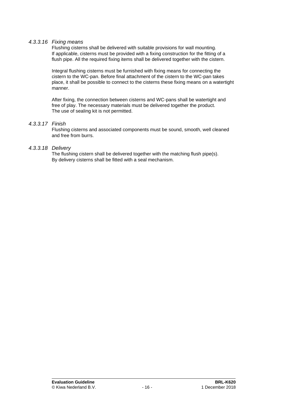#### *4.3.3.16 Fixing means*

Flushing cisterns shall be delivered with suitable provisions for wall mounting. If applicable, cisterns must be provided with a fixing construction for the fitting of a flush pipe. All the required fixing items shall be delivered together with the cistern.

Integral flushing cisterns must be furnished with fixing means for connecting the cistern to the WC-pan. Before final attachment of the cistern to the WC-pan takes place, it shall be possible to connect to the cisterns these fixing means on a watertight manner.

After fixing, the connection between cisterns and WC-pans shall be watertight and free of play. The necessary materials must be delivered together the product. The use of sealing kit is not permitted.

#### *4.3.3.17 Finish*

Flushing cisterns and associated components must be sound, smooth, well cleaned and free from burrs.

#### *4.3.3.18 Delivery*

The flushing cistern shall be delivered together with the matching flush pipe(s). By delivery cisterns shall be fitted with a seal mechanism.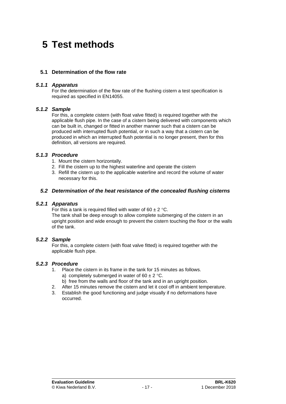### **5 Test methods**

#### <span id="page-17-0"></span>**5.1 Determination of the flow rate**

#### *5.1.1 Apparatus*

For the determination of the flow rate of the flushing cistern a test specification is required as specified in EN14055.

#### *5.1.2 Sample*

For this, a complete cistern (with float valve fitted) is required together with the applicable flush pipe. In the case of a cistern being delivered with components which can be built in, changed or fitted in another manner such that a cistern can be produced with interrupted flush potential, or in such a way that a cistern can be produced in which an interrupted flush potential is no longer present, then for this definition, all versions are required.

#### *5.1.3 Procedure*

- 1. Mount the cistern horizontally.
- 2. Fill the cistern up to the highest waterline and operate the cistern
- <span id="page-17-1"></span>3. Refill the cistern up to the applicable waterline and record the volume of water necessary for this.

#### *5.2 Determination of the heat resistance of the concealed flushing cisterns*

#### *5.2.1 Apparatus*

For this a tank is required filled with water of 60  $\pm$  2 °C. The tank shall be deep enough to allow complete submerging of the cistern in an upright position and wide enough to prevent the cistern touching the floor or the walls of the tank.

#### *5.2.2 Sample*

For this, a complete cistern (with float valve fitted) is required together with the applicable flush pipe.

#### *5.2.3 Procedure*

- 1. Place the cistern in its frame in the tank for 15 minutes as follows. a) completely submerged in water of  $60 \pm 2$  °C.
	- b) free from the walls and floor of the tank and in an upright position.
- 2. After 15 minutes remove the cistern and let it cool off in ambient temperature.
- 3. Establish the good functioning and judge visually if no deformations have occurred.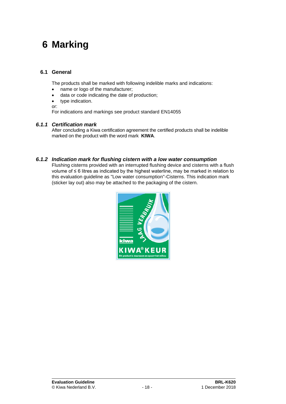## **6 Marking**

#### **6.1 General**

The products shall be marked with following indelible marks and indications:

- name or logo of the manufacturer;
- data or code indicating the date of production;
- type indication.
- or:

For indications and markings see product standard EN14055

#### *6.1.1 Certification mark*

After concluding a Kiwa certification agreement the certified products shall be indelible marked on the product with the word mark **KIWA**.

#### *6.1.2 Indication mark for flushing cistern with a low water consumption*

Flushing cisterns provided with an interrupted flushing device and cisterns with a flush volume of ≤ 6 litres as indicated by the highest waterline, may be marked in relation to this evaluation guideline as "Low water consumption"-Cisterns. This indication mark (sticker lay out) also may be attached to the packaging of the cistern.

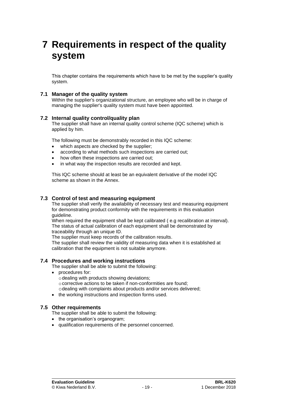### **7 Requirements in respect of the quality system**

This chapter contains the requirements which have to be met by the supplier's quality system.

#### **7.1 Manager of the quality system**

Within the supplier's organizational structure, an employee who will be in charge of managing the supplier's quality system must have been appointed.

#### **7.2 Internal quality control/quality plan**

The supplier shall have an internal quality control scheme (IQC scheme) which is applied by him.

The following must be demonstrably recorded in this IQC scheme:

- which aspects are checked by the supplier;
- according to what methods such inspections are carried out;
- how often these inspections are carried out;
- in what way the inspection results are recorded and kept.

This IQC scheme should at least be an equivalent derivative of the model IQC scheme as shown in the Annex.

#### **7.3 Control of test and measuring equipment**

The supplier shall verify the availability of necessary test and measuring equipment for demonstrating product conformity with the requirements in this evaluation guideline.

When required the equipment shall be kept calibrated (e.g recalibration at interval). The status of actual calibration of each equipment shall be demonstrated by traceability through an unique ID.

The supplier must keep records of the calibration results.

The supplier shall review the validity of measuring data when it is established at calibration that the equipment is not suitable anymore.

#### **7.4 Procedures and working instructions**

The supplier shall be able to submit the following:

- procedures for:
	- $\circ$  dealing with products showing deviations;
	- o corrective actions to be taken if non-conformities are found;
	- odealing with complaints about products and/or services delivered;
- the working instructions and inspection forms used.

#### **7.5 Other requirements**

The supplier shall be able to submit the following:

- the organisation's organogram:
- qualification requirements of the personnel concerned.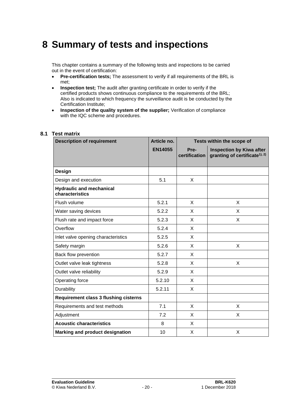### **8 Summary of tests and inspections**

This chapter contains a summary of the following tests and inspections to be carried out in the event of certification:

- **Pre-certification tests;** The assessment to verify if all requirements of the BRL is met;
- **Inspection test;** The audit after granting certificate in order to verify if the certified products shows continuous compliance to the requirements of the BRL; Also is indicated to which frequency the surveillance audit is be conducted by the Certification Institute;
- **Inspection of the quality system of the supplier;** Verification of compliance with the IQC scheme and procedures.

# **8.1 Test matrix**

| <b>Description of requirement</b>                  | Article no.    | Tests within the scope of |                                                                              |  |
|----------------------------------------------------|----------------|---------------------------|------------------------------------------------------------------------------|--|
|                                                    | <b>EN14055</b> | Pre-<br>certification     | <b>Inspection by Kiwa after</b><br>granting of certificate <sup>1), 2)</sup> |  |
| Design                                             |                |                           |                                                                              |  |
| Design and execution                               | 5.1            | X                         |                                                                              |  |
| <b>Hydraulic and mechanical</b><br>characteristics |                |                           |                                                                              |  |
| Flush volume                                       | 5.2.1          | X                         | X                                                                            |  |
| Water saving devices                               | 5.2.2          | X                         | X                                                                            |  |
| Flush rate and impact force                        | 5.2.3          | X                         | X                                                                            |  |
| Overflow                                           | 5.2.4          | X                         |                                                                              |  |
| Inlet valve opening characteristics                | 5.2.5          | X                         |                                                                              |  |
| Safety margin                                      | 5.2.6          | X                         | X                                                                            |  |
| Back flow prevention                               | 5.2.7          | X                         |                                                                              |  |
| Outlet valve leak tightness                        | 5.2.8          | X                         | X                                                                            |  |
| Outlet valve reliability                           | 5.2.9          | X                         |                                                                              |  |
| Operating force                                    | 5.2.10         | X                         |                                                                              |  |
| Durability                                         | 5.2.11         | X                         |                                                                              |  |
| <b>Requirement class 3 flushing cisterns</b>       |                |                           |                                                                              |  |
| Requirements and test methods                      | 7.1            | X                         | X                                                                            |  |
| Adjustment                                         | 7.2            | X                         | X                                                                            |  |
| <b>Acoustic characteristics</b>                    | 8              | X                         |                                                                              |  |
| Marking and product designation                    | 10             | X                         | X                                                                            |  |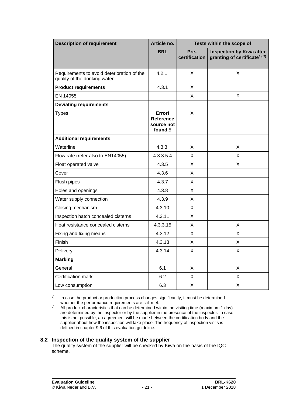| <b>Description of requirement</b>                                           | Article no.<br>Tests within the scope of     |                       |                                                                              |
|-----------------------------------------------------------------------------|----------------------------------------------|-----------------------|------------------------------------------------------------------------------|
|                                                                             | <b>BRL</b>                                   | Pre-<br>certification | <b>Inspection by Kiwa after</b><br>granting of certificate <sup>1), 2)</sup> |
| Requirements to avoid deterioration of the<br>quality of the drinking water | 4.2.1.                                       | X                     | X                                                                            |
| <b>Product requirements</b>                                                 | 4.3.1                                        | X                     |                                                                              |
| EN 14055                                                                    |                                              | X                     | X                                                                            |
| <b>Deviating requirements</b>                                               |                                              |                       |                                                                              |
| <b>Types</b>                                                                | Error!<br>Reference<br>source not<br>found.5 | X                     |                                                                              |
| <b>Additional requirements</b>                                              |                                              |                       |                                                                              |
| Waterline                                                                   | 4.3.3.                                       | X                     | X                                                                            |
| Flow rate (refer also to EN14055)                                           | 4.3.3.5.4                                    | X                     | X                                                                            |
| Float operated valve                                                        | 4.3.5                                        | X                     | X                                                                            |
| Cover                                                                       | 4.3.6                                        | X                     |                                                                              |
| Flush pipes                                                                 | 4.3.7                                        | X                     |                                                                              |
| Holes and openings                                                          | 4.3.8                                        | X                     |                                                                              |
| Water supply connection                                                     | 4.3.9                                        | X                     |                                                                              |
| Closing mechanism                                                           | 4.3.10                                       | X                     |                                                                              |
| Inspection hatch concealed cisterns                                         | 4.3.11                                       | X                     |                                                                              |
| Heat resistance concealed cisterns                                          | 4.3.3.15                                     | X                     | X                                                                            |
| Fixing and fixing means                                                     | 4.3.12                                       | X                     | X                                                                            |
| Finish                                                                      | 4.3.13                                       | X                     | X                                                                            |
| <b>Delivery</b>                                                             | 4.3.14                                       | X                     | X                                                                            |
| <b>Marking</b>                                                              |                                              |                       |                                                                              |
| General                                                                     | 6.1                                          | $\mathsf{X}$          | $\mathsf X$                                                                  |
| Certification mark                                                          | 6.2                                          | X                     | $\mathsf X$                                                                  |
| Low consumption                                                             | 6.3                                          | X                     | $\mathsf X$                                                                  |

a) In case the product or production process changes significantly, it must be determined whether the performance requirements are still met.

b) All product characteristics that can be determined within the visiting time (maximum 1 day) are determined by the inspector or by the supplier in the presence of the inspector. In case this is not possible, an agreement will be made between the certification body and the supplier about how the inspection will take place. The frequency of inspection visits is defined in chapter [9.6](#page-25-0) of this evaluation guideline.

#### **8.2 Inspection of the quality system of the supplier**

The quality system of the supplier will be checked by Kiwa on the basis of the IQC scheme.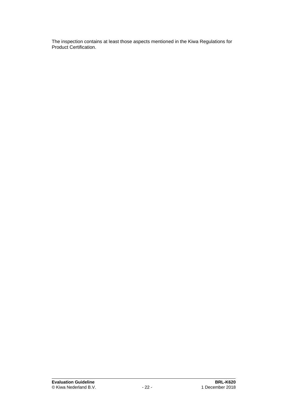The inspection contains at least those aspects mentioned in the Kiwa Regulations for Product Certification.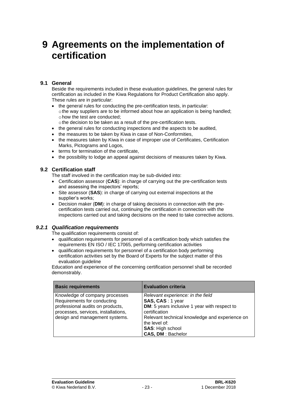### **9 Agreements on the implementation of certification**

#### **9.1 General**

Beside the requirements included in these evaluation guidelines, the general rules for certification as included in the Kiwa Regulations for Product Certification also apply. These rules are in particular:

- the general rules for conducting the pre-certification tests, in particular:  $\circ$  the way suppliers are to be informed about how an application is being handled; ohow the test are conducted;
	- othe decision to be taken as a result of the pre-certification tests.
- the general rules for conducting inspections and the aspects to be audited,
- the measures to be taken by Kiwa in case of Non-Conformities,
- the measures taken by Kiwa in case of improper use of Certificates, Certification Marks, Pictograms and Logos,
- terms for termination of the certificate.
- <span id="page-23-0"></span>• the possibility to lodge an appeal against decisions of measures taken by Kiwa.

#### **9.2 Certification staff**

The staff involved in the certification may be sub-divided into:

- Certification assessor (**CAS**): in charge of carrying out the pre-certification tests and assessing the inspectors' reports;
- Site assessor (**SAS**): in charge of carrying out external inspections at the supplier's works;
- Decision maker (**DM**): in charge of taking decisions in connection with the precertification tests carried out, continuing the certification in connection with the inspections carried out and taking decisions on the need to take corrective actions.

#### *9.2.1 Qualification requirements*

The qualification requirements consist of:

- qualification requirements for personnel of a certification body which satisfies the requirements EN ISO / IEC 17065, performing certification activities
- qualification requirements for personnel of a certification body performing certification activities set by the Board of Experts for the subject matter of this evaluation quideline

Education and experience of the concerning certification personnel shall be recorded demonstrably.

| <b>Basic requirements</b>                                                                                                                                                  | <b>Evaluation criteria</b>                                                                                                                                                                                                                       |
|----------------------------------------------------------------------------------------------------------------------------------------------------------------------------|--------------------------------------------------------------------------------------------------------------------------------------------------------------------------------------------------------------------------------------------------|
| Knowledge of company processes<br>Requirements for conducting<br>professional audits on products,<br>processes, services, installations,<br>design and management systems. | Relevant experience: in the field<br>SAS, CAS: 1 year<br>DM: 5 years inclusive 1 year with respect to<br>certification<br>Relevant technical knowledge and experience on<br>the level of:<br><b>SAS: High school</b><br><b>CAS, DM: Bachelor</b> |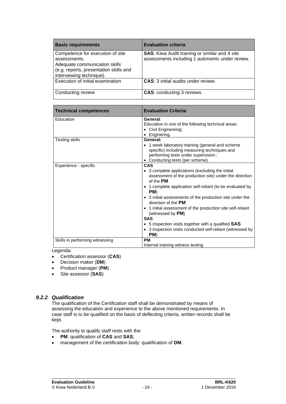| <b>Basic requirements</b>                                                                                                                               | <b>Evaluation criteria</b>                                                                               |
|---------------------------------------------------------------------------------------------------------------------------------------------------------|----------------------------------------------------------------------------------------------------------|
| Competence for execution of site<br>assessments.<br>Adequate communication skills<br>(e.g. reports, presentation skills and<br>interviewing technique). | <b>SAS:</b> Kiwa Audit training or similar and 4 site<br>assessments including 1 autonomic under review. |
| Execution of initial examination                                                                                                                        | <b>CAS:</b> 3 initial audits under review.                                                               |
| Conducting review                                                                                                                                       | <b>CAS: conducting 3 reviews</b>                                                                         |

| <b>Technical competences</b>               | <b>Evaluation Criteria</b>                                                                                                                                                                                                                                                                                                                                                                                                                                                                                                         |
|--------------------------------------------|------------------------------------------------------------------------------------------------------------------------------------------------------------------------------------------------------------------------------------------------------------------------------------------------------------------------------------------------------------------------------------------------------------------------------------------------------------------------------------------------------------------------------------|
| Education                                  | General:<br>Education in one of the following technical areas:<br>• Civil Enginereing;<br>• Enginering.                                                                                                                                                                                                                                                                                                                                                                                                                            |
| Testing skills                             | General:<br>• 1 week laboratory training (general and scheme<br>specific) including measuring techniques and<br>performing tests under supervision;<br>• Conducting tests (per scheme).                                                                                                                                                                                                                                                                                                                                            |
| Experience - specific                      | <b>CAS</b><br>• 3 complete applications (excluding the initial<br>assessment of the production site) under the direction<br>of the PM<br>• 1 complete application self-reliant (to be evaluated by<br>PM)<br>• 3 initial assessments of the production site under the<br>direction of the <b>PM</b><br>• 1 initial assessment of the production site self-reliant<br>(witnessed by PM)<br><b>SAS</b><br>• 5 inspection visits together with a qualified $SAS$<br>• 3 inspection visits conducted self-reliant (witnessed by<br>PM) |
| Skills in performing witnessing<br>ogondo: | <b>PM</b><br>Internal training witness testing                                                                                                                                                                                                                                                                                                                                                                                                                                                                                     |

Legenda:

- Certification assessor (**CAS**)
- Decision maker (**DM**)
- Product manager (**PM**)
- Site assessor (**SAS**)

#### *9.2.2 Qualification*

The qualification of the Certification staff shall be demonstrated by means of assessing the education and experience to the above mentioned requirements. In case staff is to be qualified on the basis of deflecting criteria, written records shall be kept.

The authority to qualify staff rests with the:

- **PM**: qualification of **CAS** and **SAS**;
- management of the certification body: qualification of **DM**.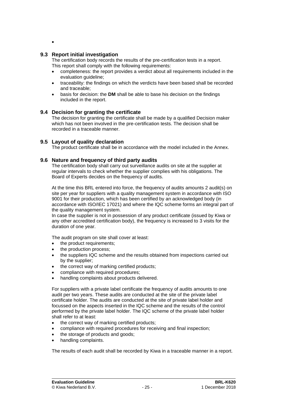•

#### **9.3 Report initial investigation**

The certification body records the results of the pre-certification tests in a report. This report shall comply with the following requirements:

- completeness: the report provides a verdict about all requirements included in the evaluation guideline;
- traceability: the findings on which the verdicts have been based shall be recorded and traceable;
- basis for decision: the **DM** shall be able to base his decision on the findings included in the report.

#### **9.4 Decision for granting the certificate**

The decision for granting the certificate shall be made by a qualified Decision maker which has not been involved in the pre-certification tests. The decision shall be recorded in a traceable manner.

#### **9.5 Layout of quality declaration**

<span id="page-25-0"></span>The product certificate shall be in accordance with the model included in the Annex.

#### **9.6 Nature and frequency of third party audits**

The certification body shall carry out surveillance audits on site at the supplier at regular intervals to check whether the supplier complies with his obligations. The Board of Experts decides on the frequency of audits.

At the time this BRL entered into force, the frequency of audits amounts 2 audit(s) on site per year for suppliers with a quality management system in accordance with ISO 9001 for their production, which has been certified by an acknowledged body (in accordance with ISO/IEC 17021) and where the IQC scheme forms an integral part of the quality management system.

In case the supplier is not in possession of any product certificate (issued by Kiwa or any other accredited certification body), the frequency is increased to 3 visits for the duration of one year.

The audit program on site shall cover at least:

- the product requirements;
- the production process:
- the suppliers IQC scheme and the results obtained from inspections carried out by the supplier;
- the correct way of marking certified products;
- compliance with required procedures;
- handling complaints about products delivered.

For suppliers with a private label certificate the frequency of audits amounts to one audit per two years. These audits are conducted at the site of the private label certificate holder. The audits are conducted at the site of private label holder and focussed on the aspects inserted in the IQC scheme and the results of the control performed by the private label holder. The IQC scheme of the private label holder shall refer to at least:

- the correct way of marking certified products;
- compliance with required procedures for receiving and final inspection;
- the storage of products and goods;
- handling complaints.

The results of each audit shall be recorded by Kiwa in a traceable manner in a report.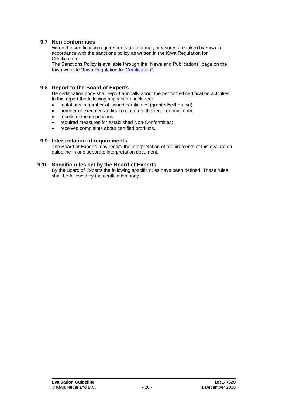#### **9.7 Non conformities**

When the certification requirements are not met, measures are taken by Kiwa in accordance with the sanctions policy as written in the Kiwa Regulation for Certification.

The Sanctions Policy is available through the "News and Publications" page on the Kiwa website ["Kiwa Regulation for Certification".](https://www.kiwa.nl/uploadedFiles/Nieuws_en_publicaties/Kiwa%20Regulation%20for%20Certification.pdf)

#### **9.8 Report to the Board of Experts**

De certification body shall report annually about the performed certification activities. In this report the following aspects are included:

- mutations in number of issued certificates (granted/withdrawn):
- number of executed audits in relation to the required minimum;
- results of the inspections;
- required measures for established Non-Conformities;
- received complaints about certified products.

#### **9.9 Interpretation of requirements**

The Board of Experts may record the interpretation of requirements of this evaluation guideline in one separate interpretation document.

#### **9.10 Specific rules set by the Board of Experts**

By the Board of Experts the following specific rules have been defined. These rules shall be followed by the certification body.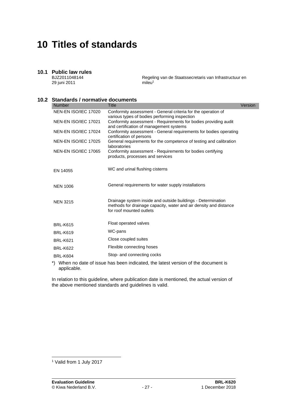### **10 Titles of standards**

### **10.1 Public law rules**

BJZ2011048144 29 juni 2011

Regeling van de Staatssecretaris van Infrastructuur en  $m$ ileu<sup>1</sup>

#### **10.2 Standards / normative documents**

| <b>Number</b>               | <b>Title</b>                                                                                                                                                  | Version |
|-----------------------------|---------------------------------------------------------------------------------------------------------------------------------------------------------------|---------|
| NEN-EN ISO/IEC 17020        | Conformity assessment - General criteria for the operation of<br>various types of bodies performing inspection                                                |         |
| NEN-EN ISO/IEC 17021        | Conformity assessment - Requirements for bodies providing audit<br>and certification of management systems                                                    |         |
| NEN-EN ISO/IEC 17024        | Conformity assessment - General requirements for bodies operating<br>certification of persons                                                                 |         |
| NEN-EN ISO/IEC 17025        | General requirements for the competence of testing and calibration<br>laboratories                                                                            |         |
| <b>NEN-EN ISO/IEC 17065</b> | Conformity assessment - Requirements for bodies certifying<br>products, processes and services                                                                |         |
| EN 14055                    | WC and urinal flushing cisterns                                                                                                                               |         |
| <b>NEN 1006</b>             | General requirements for water supply installations                                                                                                           |         |
| <b>NEN 3215</b>             | Drainage system inside and outside buildings - Determination<br>methods for drainage capacity, water and air density and distance<br>for roof mounted outlets |         |
| <b>BRL-K615</b>             | Float operated valves                                                                                                                                         |         |
| <b>BRL-K619</b>             | WC-pans                                                                                                                                                       |         |
| <b>BRL-K621</b>             | Close coupled suites                                                                                                                                          |         |
| <b>BRL-K622</b>             | Flexible connecting hoses                                                                                                                                     |         |
| <b>BRL-K604</b>             | Stop- and connecting cocks                                                                                                                                    |         |
|                             | *) When no date of issue has been indicated the latest version of the document is                                                                             |         |

\*) When no date of issue has been indicated, the latest version of the document is applicable.

In relation to this guideline, where publication date is mentioned, the actual version of the above mentioned standards and guidelines is valid.

<sup>1</sup> Valid from 1 July 2017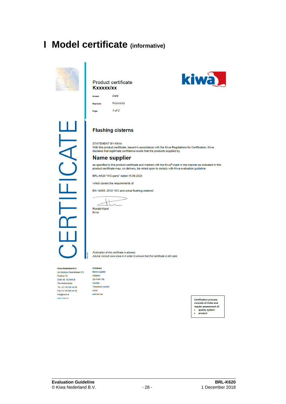### **I Model certificate (informative)**



#### Product certificate **Kxxxxx/xx**



CATE

#### **Flushing cisterns**

STATEMENT BY KIWA

With this product certificate, issued in accordance with the Kiwa Regulations for Certification, Kiwa declares that legitimate confidence exists that the products supplied by

#### **Name supplier**

as specified in this product certificate and marked with the Kiwa®-mark in the manner as indicated in this product certificate may, on delivery, be relied upon to comply with Kiwa evaluation guideline

BRL-K620 "WC-pans" dated 15.09.2024

which covers the requirements of

EN 14055: 2018 "WC and urinal flushing cisterns".

 $\perp$ ΤI

Ronald Karel Kiwa

Publication of this certificate is allowed. Advice: consult www.kiwa.nl in order to ensure that this certificate is still valid.

#### Kiwa Nederland B.V. Sir Winston Churchilliaan 273 Postbus 70

2280 AB RUSWUK The Netherlands Tel. +31 88 998 44 00 Fax +31 88 998 44 20 info@kiwa.nl www.kiwa.nl

| Company                 |
|-------------------------|
| Name supplier           |
| <b>Address</b>          |
| <b>Zip code City</b>    |
| Country                 |
| <b>Telephone number</b> |
| email                   |
| internet site           |

**Certification process** consists of initial and regular assessment of: quality system l. product

kiwa

**Evaluation Guideline BRL-K620**